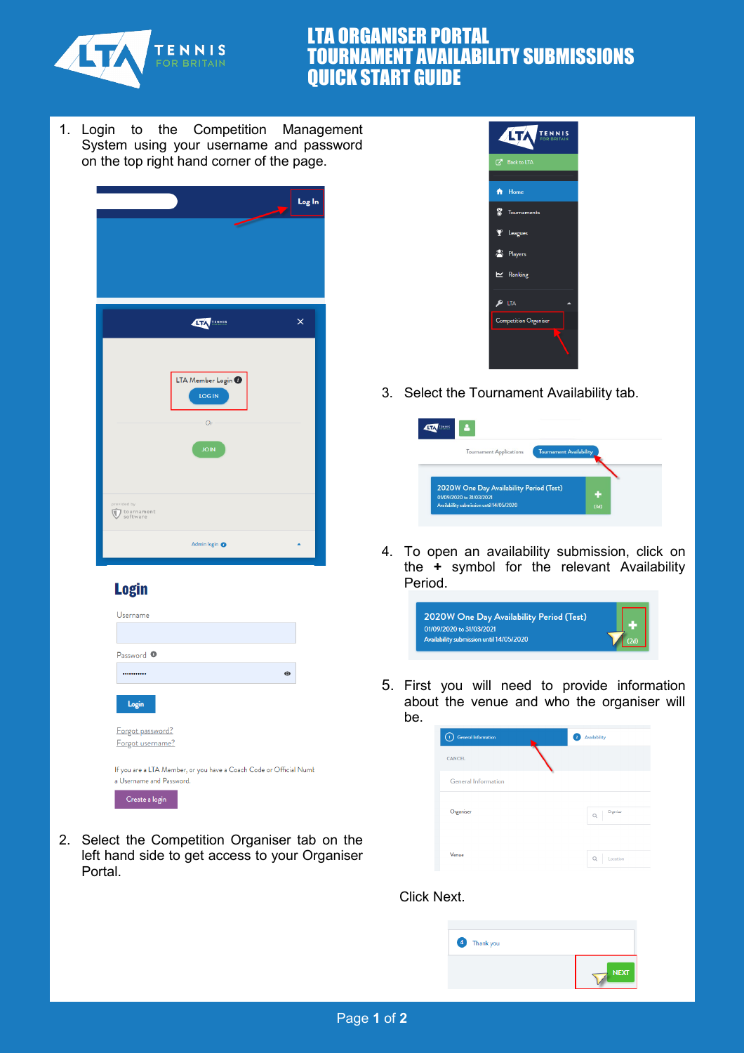

## LTA ORGANISER PORTAL TOURNAMENT AVAILABILITY SUBMISSIONS QUICK START GUIDE

1. Login to the Competition Management System using your username and password on the top right hand corner of the page.



## **Login**

| Username                                                                                       |         |
|------------------------------------------------------------------------------------------------|---------|
|                                                                                                |         |
| Password <sup>O</sup>                                                                          |         |
|                                                                                                | $\odot$ |
| Login                                                                                          |         |
| Forgot password?                                                                               |         |
| Forgot username?                                                                               |         |
| If you are a LTA Member, or you have a Coach Code or Official Numb<br>a Username and Password. |         |
| Create a login                                                                                 |         |

2. Select the Competition Organiser tab on the left hand side to get access to your Organiser Portal.



3. Select the Tournament Availability tab.



4. To open an availability submission, click on the **+** symbol for the relevant Availability Period.



5. First you will need to provide information about the venue and who the organiser will be.

| ♦<br>General Information   | Availability<br>$\overline{2}$ |
|----------------------------|--------------------------------|
| CANCEL                     |                                |
| <b>General Information</b> |                                |
| Organiser                  | Organiser<br>$\alpha$          |
| Venue                      | $\alpha$<br>Location           |

## Click Next.

| 4 Thank you |                   |
|-------------|-------------------|
|             | <b>NEXT</b><br>т. |